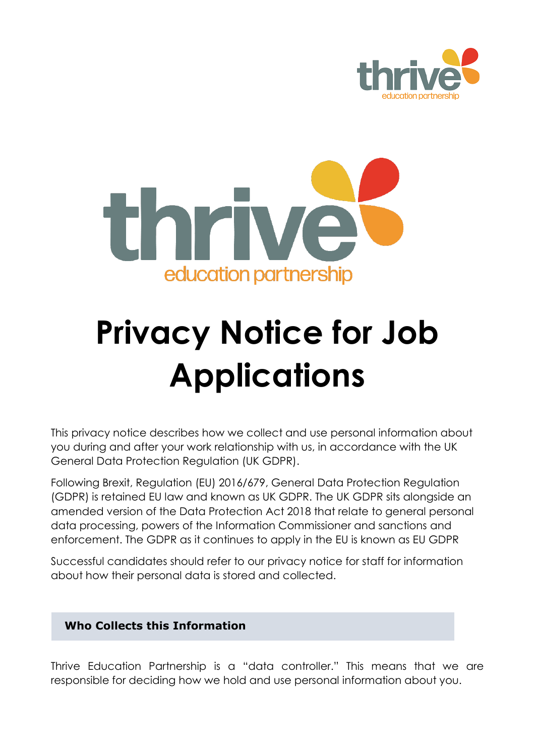



# **Privacy Notice for Job Applications**

This privacy notice describes how we collect and use personal information about you during and after your work relationship with us, in accordance with the UK General Data Protection Regulation (UK GDPR).

Following Brexit, Regulation (EU) 2016/679, General Data Protection Regulation (GDPR) is retained EU law and known as UK GDPR. The UK GDPR sits alongside an amended version of the Data Protection Act 2018 that relate to general personal data processing, powers of the Information Commissioner and sanctions and enforcement. The GDPR as it continues to apply in the EU is known as EU GDPR

Successful candidates should refer to our privacy notice for staff for information about how their personal data is stored and collected.

# **Who Collects this Information**

Thrive Education Partnership is a "data controller." This means that we are responsible for deciding how we hold and use personal information about you.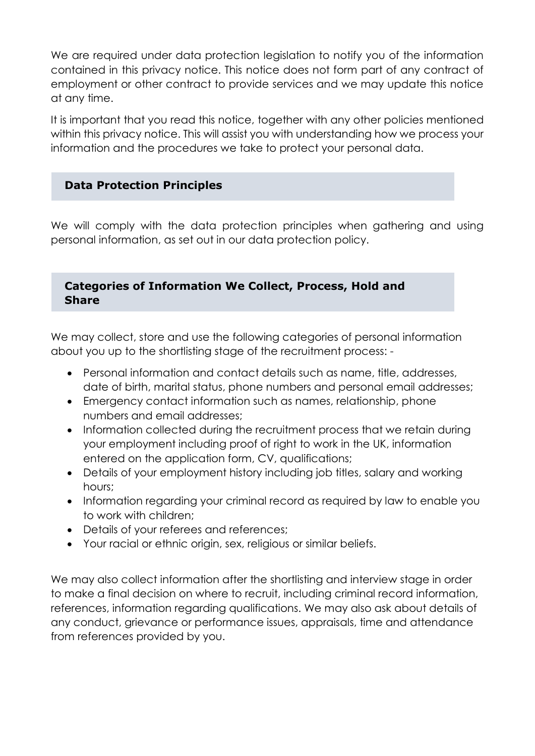We are required under data protection legislation to notify you of the information contained in this privacy notice. This notice does not form part of any contract of employment or other contract to provide services and we may update this notice at any time.

It is important that you read this notice, together with any other policies mentioned within this privacy notice. This will assist you with understanding how we process your information and the procedures we take to protect your personal data.

# **Data Protection Principles**

We will comply with the data protection principles when gathering and using personal information, as set out in our data protection policy.

# **Categories of Information We Collect, Process, Hold and Share**

We may collect, store and use the following categories of personal information about you up to the shortlisting stage of the recruitment process: -

- Personal information and contact details such as name, title, addresses, date of birth, marital status, phone numbers and personal email addresses;
- Emergency contact information such as names, relationship, phone numbers and email addresses;
- Information collected during the recruitment process that we retain during your employment including proof of right to work in the UK, information entered on the application form, CV, qualifications;
- Details of your employment history including job titles, salary and working hours;
- Information regarding your criminal record as required by law to enable you to work with children;
- Details of your referees and references;
- Your racial or ethnic origin, sex, religious or similar beliefs.

We may also collect information after the shortlisting and interview stage in order to make a final decision on where to recruit, including criminal record information, references, information regarding qualifications. We may also ask about details of any conduct, grievance or performance issues, appraisals, time and attendance from references provided by you.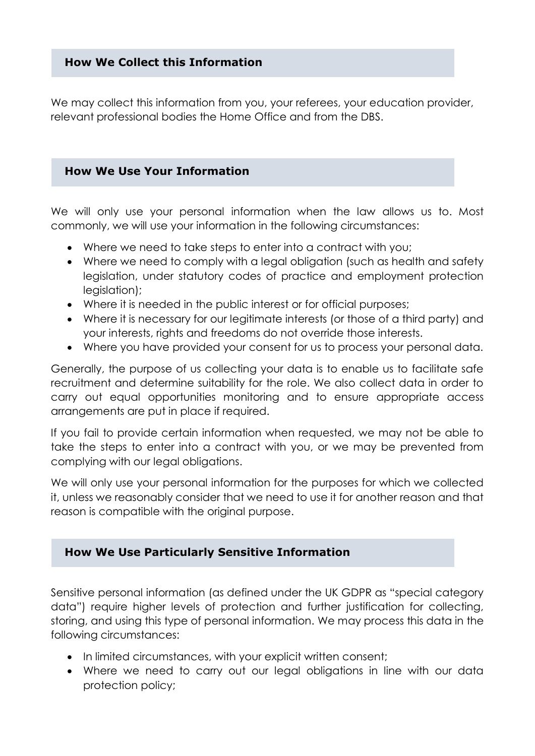## **How We Collect this Information**

We may collect this information from you, your referees, your education provider, relevant professional bodies the Home Office and from the DBS.

## **How We Use Your Information**

We will only use your personal information when the law allows us to. Most commonly, we will use your information in the following circumstances:

- Where we need to take steps to enter into a contract with you;
- Where we need to comply with a legal obligation (such as health and safety legislation, under statutory codes of practice and employment protection legislation);
- Where it is needed in the public interest or for official purposes;
- Where it is necessary for our legitimate interests (or those of a third party) and your interests, rights and freedoms do not override those interests.
- Where you have provided your consent for us to process your personal data.

Generally, the purpose of us collecting your data is to enable us to facilitate safe recruitment and determine suitability for the role. We also collect data in order to carry out equal opportunities monitoring and to ensure appropriate access arrangements are put in place if required.

If you fail to provide certain information when requested, we may not be able to take the steps to enter into a contract with you, or we may be prevented from complying with our legal obligations.

We will only use your personal information for the purposes for which we collected it, unless we reasonably consider that we need to use it for another reason and that reason is compatible with the original purpose.

#### **How We Use Particularly Sensitive Information**

Sensitive personal information (as defined under the UK GDPR as "special category data") require higher levels of protection and further justification for collecting, storing, and using this type of personal information. We may process this data in the following circumstances:

- In limited circumstances, with your explicit written consent;
- Where we need to carry out our legal obligations in line with our data protection policy;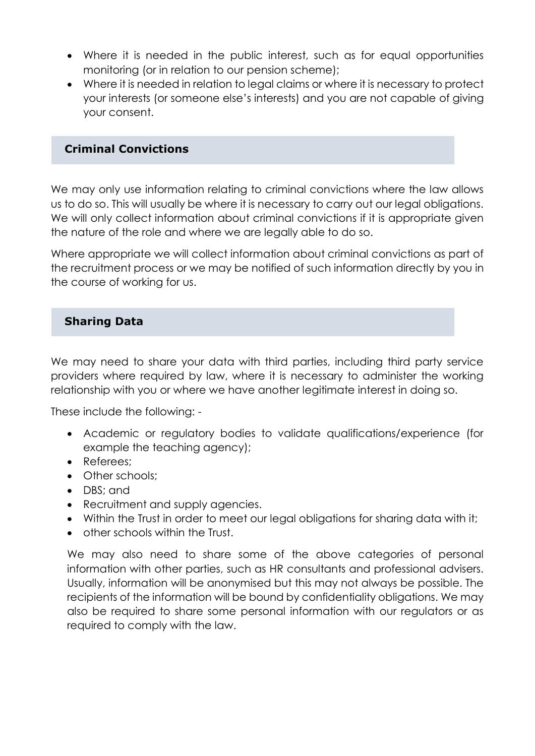- Where it is needed in the public interest, such as for equal opportunities monitoring (or in relation to our pension scheme);
- Where it is needed in relation to legal claims or where it is necessary to protect your interests (or someone else's interests) and you are not capable of giving your consent.

## **Criminal Convictions**

We may only use information relating to criminal convictions where the law allows us to do so. This will usually be where it is necessary to carry out our legal obligations. We will only collect information about criminal convictions if it is appropriate given the nature of the role and where we are legally able to do so.

Where appropriate we will collect information about criminal convictions as part of the recruitment process or we may be notified of such information directly by you in the course of working for us.

# **Sharing Data**

We may need to share your data with third parties, including third party service providers where required by law, where it is necessary to administer the working relationship with you or where we have another legitimate interest in doing so.

These include the following: -

- Academic or regulatory bodies to validate qualifications/experience (for example the teaching agency);
- Referees;
- Other schools;
- DBS; and
- Recruitment and supply agencies.
- Within the Trust in order to meet our legal obligations for sharing data with it;
- other schools within the Trust.

We may also need to share some of the above categories of personal information with other parties, such as HR consultants and professional advisers. Usually, information will be anonymised but this may not always be possible. The recipients of the information will be bound by confidentiality obligations. We may also be required to share some personal information with our regulators or as required to comply with the law.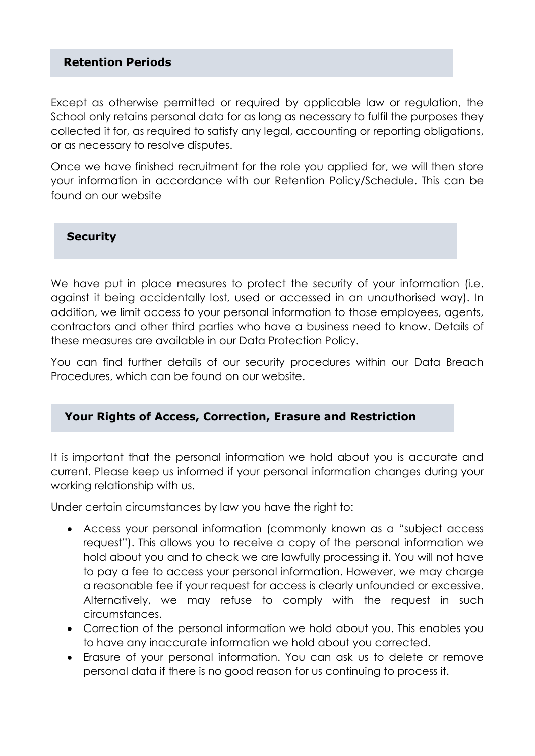## **Retention Periods**

Except as otherwise permitted or required by applicable law or regulation, the School only retains personal data for as long as necessary to fulfil the purposes they collected it for, as required to satisfy any legal, accounting or reporting obligations, or as necessary to resolve disputes.

Once we have finished recruitment for the role you applied for, we will then store your information in accordance with our Retention Policy/Schedule. This can be found on our website

**Security**

We have put in place measures to protect the security of your information (i.e. against it being accidentally lost, used or accessed in an unauthorised way). In addition, we limit access to your personal information to those employees, agents, contractors and other third parties who have a business need to know. Details of these measures are available in our Data Protection Policy.

You can find further details of our security procedures within our Data Breach Procedures, which can be found on our website.

#### **Your Rights of Access, Correction, Erasure and Restriction**

It is important that the personal information we hold about you is accurate and current. Please keep us informed if your personal information changes during your working relationship with us.

Under certain circumstances by law you have the right to:

- Access your personal information (commonly known as a "subject access request"). This allows you to receive a copy of the personal information we hold about you and to check we are lawfully processing it. You will not have to pay a fee to access your personal information. However, we may charge a reasonable fee if your request for access is clearly unfounded or excessive. Alternatively, we may refuse to comply with the request in such circumstances.
- Correction of the personal information we hold about you. This enables you to have any inaccurate information we hold about you corrected.
- Erasure of your personal information. You can ask us to delete or remove personal data if there is no good reason for us continuing to process it.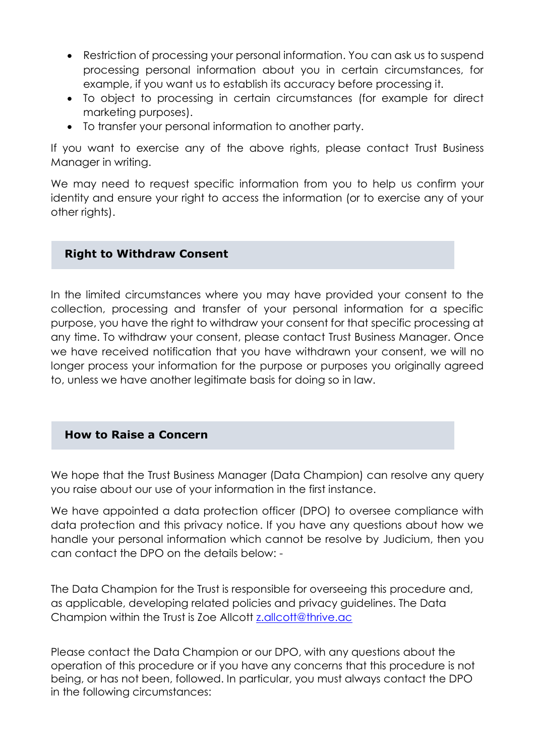- Restriction of processing your personal information. You can ask us to suspend processing personal information about you in certain circumstances, for example, if you want us to establish its accuracy before processing it.
- To object to processing in certain circumstances (for example for direct marketing purposes).
- To transfer your personal information to another party.

If you want to exercise any of the above rights, please contact Trust Business Manager in writing.

We may need to request specific information from you to help us confirm your identity and ensure your right to access the information (or to exercise any of your other rights).

# **Right to Withdraw Consent**

In the limited circumstances where you may have provided your consent to the collection, processing and transfer of your personal information for a specific purpose, you have the right to withdraw your consent for that specific processing at any time. To withdraw your consent, please contact Trust Business Manager. Once we have received notification that you have withdrawn your consent, we will no longer process your information for the purpose or purposes you originally agreed to, unless we have another legitimate basis for doing so in law.

#### **How to Raise a Concern**

We hope that the Trust Business Manager (Data Champion) can resolve any query you raise about our use of your information in the first instance.

We have appointed a data protection officer (DPO) to oversee compliance with data protection and this privacy notice. If you have any questions about how we handle your personal information which cannot be resolve by Judicium, then you can contact the DPO on the details below: -

The Data Champion for the Trust is responsible for overseeing this procedure and, as applicable, developing related policies and privacy guidelines. The Data Champion within the Trust is Zoe Allcott [z.allcott@thrive.ac](mailto:z.allcott@thrive.ac)

Please contact the Data Champion or our DPO, with any questions about the operation of this procedure or if you have any concerns that this procedure is not being, or has not been, followed. In particular, you must always contact the DPO in the following circumstances: